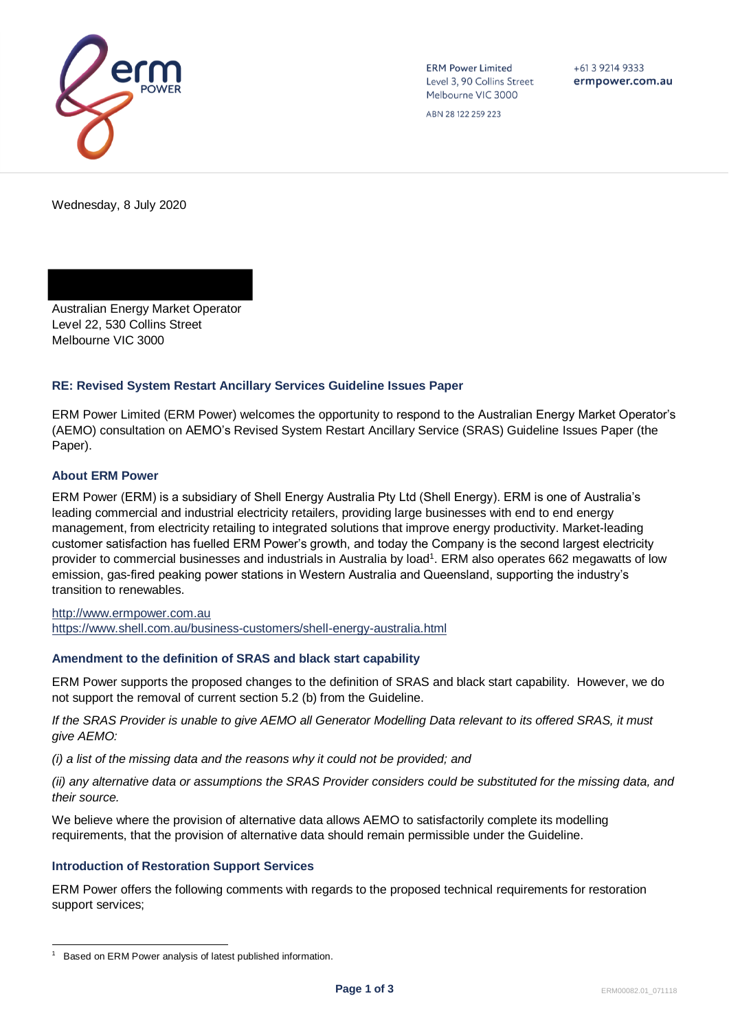

**ERM Power Limited** Level 3, 90 Collins Street Melbourne VIC 3000

 $+61392149333$ ermpower.com.au

ABN 28 122 259 223

Wednesday, 8 July 2020

Australian Energy Market Operator Level 22, 530 Collins Street Melbourne VIC 3000

# **RE: Revised System Restart Ancillary Services Guideline Issues Paper**

ERM Power Limited (ERM Power) welcomes the opportunity to respond to the Australian Energy Market Operator's (AEMO) consultation on AEMO's Revised System Restart Ancillary Service (SRAS) Guideline Issues Paper (the Paper).

### **About ERM Power**

ERM Power (ERM) is a subsidiary of Shell Energy Australia Pty Ltd (Shell Energy). ERM is one of Australia's leading commercial and industrial electricity retailers, providing large businesses with end to end energy management, from electricity retailing to integrated solutions that improve energy productivity. Market-leading customer satisfaction has fuelled ERM Power's growth, and today the Company is the second largest electricity provider to commercial businesses and industrials in Australia by load<sup>1</sup>. ERM also operates 662 megawatts of low emission, gas-fired peaking power stations in Western Australia and Queensland, supporting the industry's transition to renewables.

[http://www.ermpower.com.au](http://www.ermpower.com.au/) <https://www.shell.com.au/business-customers/shell-energy-australia.html>

# **Amendment to the definition of SRAS and black start capability**

ERM Power supports the proposed changes to the definition of SRAS and black start capability. However, we do not support the removal of current section 5.2 (b) from the Guideline.

*If the SRAS Provider is unable to give AEMO all Generator Modelling Data relevant to its offered SRAS, it must give AEMO:*

*(i) a list of the missing data and the reasons why it could not be provided; and*

*(ii) any alternative data or assumptions the SRAS Provider considers could be substituted for the missing data, and their source.*

We believe where the provision of alternative data allows AEMO to satisfactorily complete its modelling requirements, that the provision of alternative data should remain permissible under the Guideline.

### **Introduction of Restoration Support Services**

ERM Power offers the following comments with regards to the proposed technical requirements for restoration support services;

<sup>1</sup> Based on ERM Power analysis of latest published information.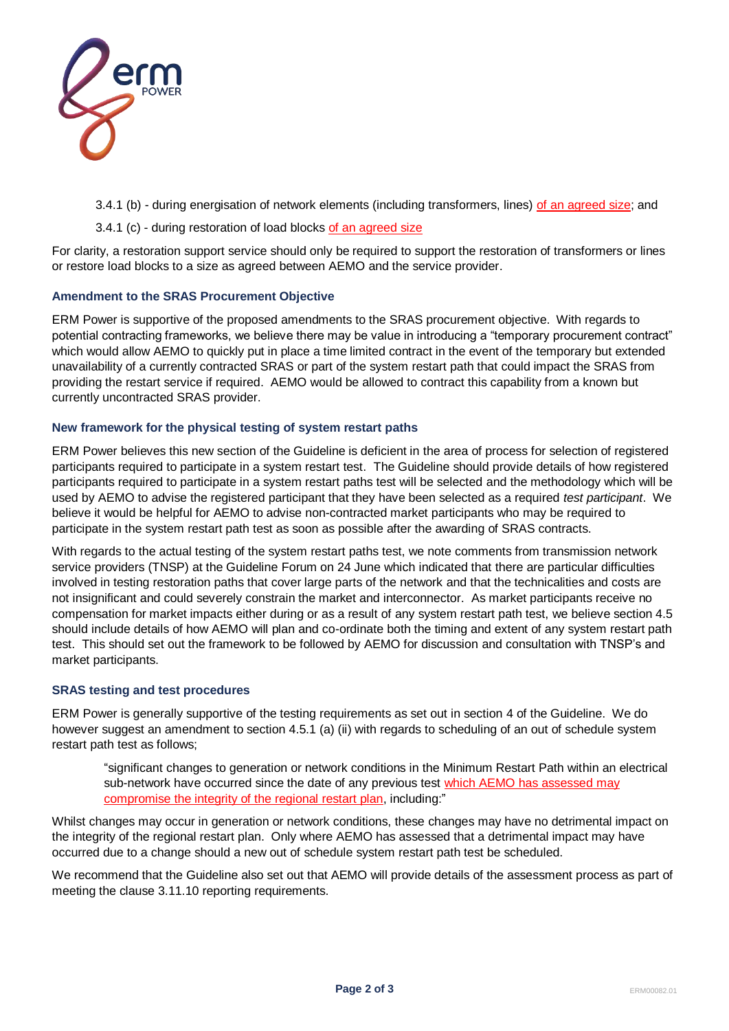

3.4.1 (b) - during energisation of network elements (including transformers, lines) of an agreed size; and

3.4.1 (c) - during restoration of load blocks of an agreed size

For clarity, a restoration support service should only be required to support the restoration of transformers or lines or restore load blocks to a size as agreed between AEMO and the service provider.

### **Amendment to the SRAS Procurement Objective**

ERM Power is supportive of the proposed amendments to the SRAS procurement objective. With regards to potential contracting frameworks, we believe there may be value in introducing a "temporary procurement contract" which would allow AEMO to quickly put in place a time limited contract in the event of the temporary but extended unavailability of a currently contracted SRAS or part of the system restart path that could impact the SRAS from providing the restart service if required. AEMO would be allowed to contract this capability from a known but currently uncontracted SRAS provider.

### **New framework for the physical testing of system restart paths**

ERM Power believes this new section of the Guideline is deficient in the area of process for selection of registered participants required to participate in a system restart test. The Guideline should provide details of how registered participants required to participate in a system restart paths test will be selected and the methodology which will be used by AEMO to advise the registered participant that they have been selected as a required *test participant*. We believe it would be helpful for AEMO to advise non-contracted market participants who may be required to participate in the system restart path test as soon as possible after the awarding of SRAS contracts.

With regards to the actual testing of the system restart paths test, we note comments from transmission network service providers (TNSP) at the Guideline Forum on 24 June which indicated that there are particular difficulties involved in testing restoration paths that cover large parts of the network and that the technicalities and costs are not insignificant and could severely constrain the market and interconnector. As market participants receive no compensation for market impacts either during or as a result of any system restart path test, we believe section 4.5 should include details of how AEMO will plan and co-ordinate both the timing and extent of any system restart path test. This should set out the framework to be followed by AEMO for discussion and consultation with TNSP's and market participants.

### **SRAS testing and test procedures**

ERM Power is generally supportive of the testing requirements as set out in section 4 of the Guideline. We do however suggest an amendment to section 4.5.1 (a) (ii) with regards to scheduling of an out of schedule system restart path test as follows;

"significant changes to generation or network conditions in the Minimum Restart Path within an electrical sub-network have occurred since the date of any previous test which AEMO has assessed may compromise the integrity of the regional restart plan, including:"

Whilst changes may occur in generation or network conditions, these changes may have no detrimental impact on the integrity of the regional restart plan. Only where AEMO has assessed that a detrimental impact may have occurred due to a change should a new out of schedule system restart path test be scheduled.

We recommend that the Guideline also set out that AEMO will provide details of the assessment process as part of meeting the clause 3.11.10 reporting requirements.